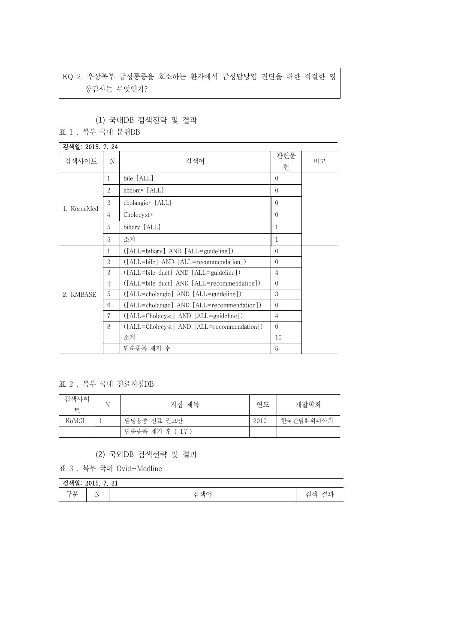# KQ 2. 우상복부 급성통증을 호소하는 환자에서 급성담낭염 진단을 위한 적절한 영 상검사는 무엇인가?

#### (1) 국내DB 검색전략 및 결과

#### 표 1 . 복부 국내 문헌DB

### 검색일: 2015. 7. 24 검색사이트 <sup>N</sup> 검색어 관련문 취 비고 1. KoreaMed  $\frac{3}{4}$ 1 bile [ALL] 0 2  $\theta$  abdom\* [ALL] 0 3 cholangio\* [ALL] 0 Cholecyst\* 0 5 biliary [ALL] 1 5 소계 1 2. KMBASE  $\Big| 5$ 1 ([ALL=biliary] AND [ALL=guideline]) 0 2 ([ALL=bile] AND [ALL=recommendation]) 0 3 ([ALL=bile duct] AND [ALL=guideline]) 4 4 ([ALL=bile duct] AND [ALL=recommendation]) 0 5 ([ALL=cholangio] AND [ALL=guideline]) 3 6 ([ALL=cholangio] AND [ALL=recommendation]) 0 7 ([ALL=Cholecyst] AND [ALL=guideline]) 4 8 ([ALL=Cholecyst] AND [ALL=recommendation]) 0 소계 10 단순중복 제거 후 5

표 2 . 복부 국내 진료지침DB

| 검색사이<br>트 | 지침 제목           | 연도   | 개발학회      |
|-----------|-----------------|------|-----------|
| KoMGI     | 담낭용종 진료 권고안     | 2010 | 한국간담췌외과학회 |
|           | 단순중복 제거 후 ( 1건) |      |           |

#### (2) 국외DB 검색전략 및 결과

표 3 . 복부 국외 Ovid-Medline

| 검색일: 2015. 7. 21 |                           |    |                         |
|------------------|---------------------------|----|-------------------------|
| 구분               | $\sim$ $\sim$<br>N<br>. . | 재ㅇ | --<br>격과<br>새<br>ー<br>− |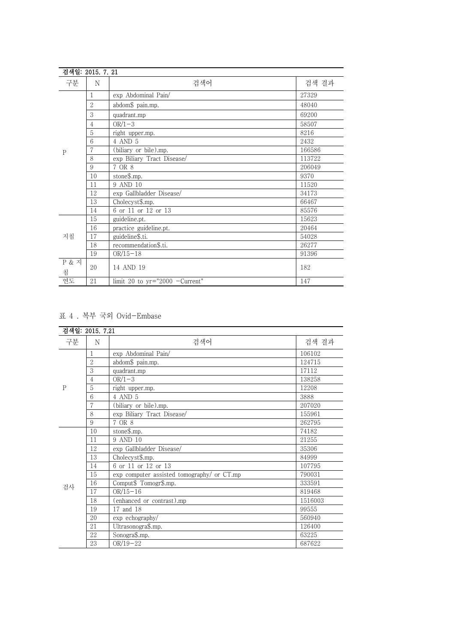|                       | 검색일: 2015. 7. 21 |                                  |        |
|-----------------------|------------------|----------------------------------|--------|
| 구분                    | N                | 검색어                              | 검색 결과  |
|                       |                  | exp Abdominal Pain/              | 27329  |
|                       | $\overline{2}$   | abdom\$ pain.mp.                 | 48040  |
|                       | 3                | quadrant.mp                      | 69200  |
|                       | 4                | $OR/1-3$                         | 58507  |
| P                     | 5                | right upper.mp.                  | 8216   |
|                       | 6                | 4 AND 5                          | 2432   |
|                       |                  | (biliary or bile).mp.            | 166586 |
|                       | 8                | exp Biliary Tract Disease/       | 113722 |
|                       | 9                | 7 OR 8                           | 206049 |
|                       | 10               | stone\$.mp.                      | 9370   |
|                       | 11               | 9 AND 10                         | 11520  |
|                       | 12               | exp Gallbladder Disease/         | 34173  |
|                       | 13               | Cholecyst\$.mp.                  | 66467  |
|                       | 14               | 6 or 11 or 12 or 13              | 85576  |
|                       | 15               | guideline.pt.                    | 15623  |
|                       | 16               | practice guideline.pt.           | 20464  |
| 지침                    | 17               | guideline\$.ti.                  | 54028  |
|                       | 18               | recommendation\$.ti.             | 26277  |
|                       | 19               | $OR/15-18$                       | 91396  |
| <b>P &amp; 지</b><br>침 | 20               | 14 AND 19                        | 182    |
| 연도                    | 21               | limit 20 to $yr="2000 -Current"$ | 147    |

## 표 4 . 복부 국외 Ovid-Embase

|              | 검색일: 2015. 7.21 |                                            |         |
|--------------|-----------------|--------------------------------------------|---------|
| 구분           | N               | 검색어                                        | 검색 결과   |
|              | 1               | exp Abdominal Pain/                        | 106102  |
|              | $\mathcal{D}$   | abdom\$ pain.mp.                           | 124715  |
|              | 3               | quadrant.mp                                | 17112   |
|              | 4               | $OR/1-3$                                   | 138258  |
| $\mathbf{P}$ | 5               | right upper.mp.                            | 12208   |
|              | 6               | 4 AND 5                                    | 3888    |
|              |                 | (biliary or bile).mp.                      | 207020  |
|              | 8               | exp Biliary Tract Disease/                 | 155961  |
|              | 9               | 7 OR 8                                     | 262795  |
|              | 10              | stone\$.mp.                                | 74182   |
|              | 11              | 9 AND 10                                   | 21255   |
|              | 12              | exp Gallbladder Disease/                   | 35306   |
|              | 13              | Cholecyst\$.mp.                            | 84999   |
|              | 14              | 6 or 11 or 12 or 13                        | 107795  |
|              | 15              | exp computer assisted tomography/ or CT.mp | 790031  |
| 검사           | 16              | Comput\$ Tomogr\$.mp.                      | 333591  |
|              | 17              | $OR/15-16$                                 | 819468  |
|              | 18              | (enhanced or contrast).mp                  | 1516003 |
|              | 19              | 17 and 18                                  | 99555   |
|              | 20              | exp echography/                            | 560940  |
|              | 21              | Ultrasonogra\$.mp.                         | 126400  |
|              | 22              | Sonogra\$.mp.                              | 63225   |
|              | 23              | $OR/19-22$                                 | 687622  |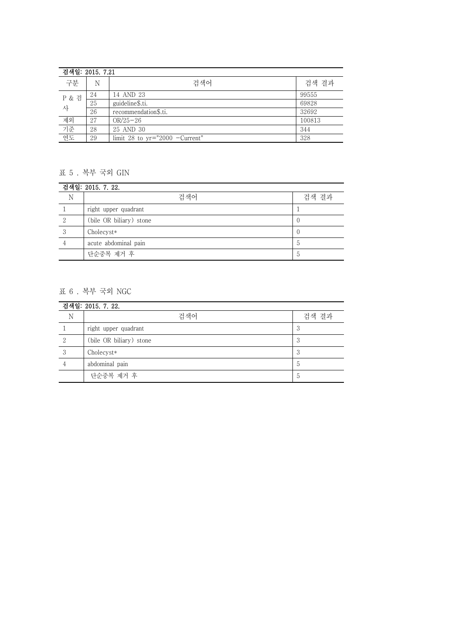|            | 검색일: 2015. 7.21 |                                  |        |  |
|------------|-----------------|----------------------------------|--------|--|
| 구분         | N               | 검색어                              | 검색 결과  |  |
| P & 검<br>사 | 24              | 14 AND 23                        | 99555  |  |
|            | 25              | guideline\$.ti.                  | 69828  |  |
|            | 26              | recommendation\$.ti.             | 32692  |  |
| 제외         | 27              | $OR/25 - 26$                     | 100813 |  |
| 기준<br>연도   | 28              | 25 AND 30                        | 344    |  |
|            | 29              | limit 28 to $yr="2000 -Current"$ | 328    |  |

## 표 5 . 복부 국외 GIN

| 검색일: 2015. 7. 22. |                         |                |  |
|-------------------|-------------------------|----------------|--|
| N                 | 검색어                     | 검색 결과          |  |
|                   | right upper quadrant    |                |  |
|                   | (bile OR biliary) stone |                |  |
|                   | Cholecyst*              |                |  |
|                   | acute abdominal pain    | $\mathfrak{D}$ |  |
|                   | 단순중복 제거 후               | $\mathfrak{D}$ |  |

# 표 6 . 복부 국외 NGC

| 검색일: 2015. 7. 22. |                         |                |  |
|-------------------|-------------------------|----------------|--|
| N                 | 검색어                     | 검색 결과          |  |
|                   | right upper quadrant    | 3              |  |
|                   | (bile OR biliary) stone | 3              |  |
| 3                 | Cholecyst*              | 3              |  |
|                   | abdominal pain          | $\circ$        |  |
|                   | 단순중복 제거 후               | $\mathfrak{h}$ |  |